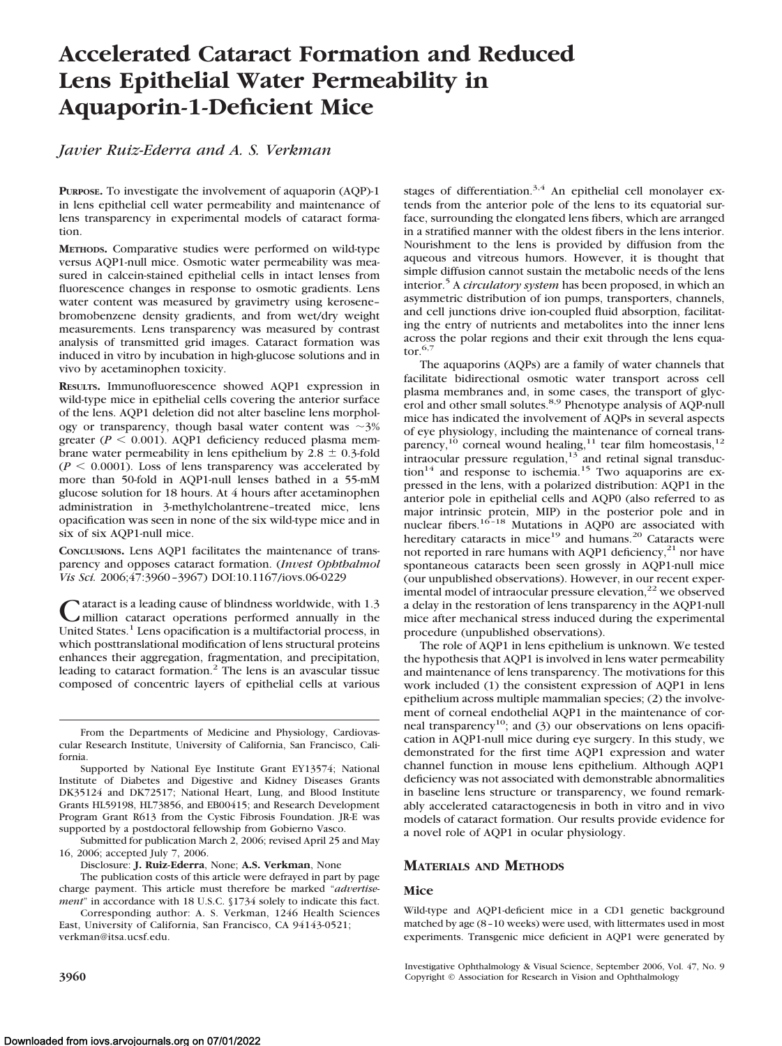# **Accelerated Cataract Formation and Reduced Lens Epithelial Water Permeability in Aquaporin-1-Deficient Mice**

# *Javier Ruiz-Ederra and A. S. Verkman*

**PURPOSE.** To investigate the involvement of aquaporin (AQP)-1 in lens epithelial cell water permeability and maintenance of lens transparency in experimental models of cataract formation.

**METHODS.** Comparative studies were performed on wild-type versus AQP1-null mice. Osmotic water permeability was measured in calcein-stained epithelial cells in intact lenses from fluorescence changes in response to osmotic gradients. Lens water content was measured by gravimetry using kerosene– bromobenzene density gradients, and from wet/dry weight measurements. Lens transparency was measured by contrast analysis of transmitted grid images. Cataract formation was induced in vitro by incubation in high-glucose solutions and in vivo by acetaminophen toxicity.

**RESULTS.** Immunofluorescence showed AQP1 expression in wild-type mice in epithelial cells covering the anterior surface of the lens. AQP1 deletion did not alter baseline lens morphology or transparency, though basal water content was  $\sim$ 3% greater ( $P < 0.001$ ). AQP1 deficiency reduced plasma membrane water permeability in lens epithelium by  $2.8 \pm 0.3$ -fold  $(P < 0.0001)$ . Loss of lens transparency was accelerated by more than 50-fold in AQP1-null lenses bathed in a 55-mM glucose solution for 18 hours. At 4 hours after acetaminophen administration in 3-methylcholantrene–treated mice, lens opacification was seen in none of the six wild-type mice and in six of six AQP1-null mice.

**CONCLUSIONS.** Lens AQP1 facilitates the maintenance of transparency and opposes cataract formation. (*Invest Ophthalmol Vis Sci.* 2006;47:3960 –3967) DOI:10.1167/iovs.06-0229

Cataract is a leading cause of blindness worldwide, with 1.3<br>million cataract operations performed annually in the<br>United States Language is a multificate is a multificate United States.<sup>1</sup> Lens opacification is a multifactorial process, in which posttranslational modification of lens structural proteins enhances their aggregation, fragmentation, and precipitation, leading to cataract formation.2 The lens is an avascular tissue composed of concentric layers of epithelial cells at various

Supported by National Eye Institute Grant EY13574; National Institute of Diabetes and Digestive and Kidney Diseases Grants DK35124 and DK72517; National Heart, Lung, and Blood Institute Grants HL59198, HL73856, and EB00415; and Research Development Program Grant R613 from the Cystic Fibrosis Foundation. JR-E was supported by a postdoctoral fellowship from Gobierno Vasco.

Submitted for publication March 2, 2006; revised April 25 and May 16, 2006; accepted July 7, 2006.

Disclosure: **J. Ruiz-Ederra**, None; **A.S. Verkman**, None

The publication costs of this article were defrayed in part by page charge payment. This article must therefore be marked "*advertisement*" in accordance with 18 U.S.C. §1734 solely to indicate this fact.

Corresponding author: A. S. Verkman, 1246 Health Sciences East, University of California, San Francisco, CA 94143-0521; verkman@itsa.ucsf.edu.

stages of differentiation.<sup>3,4</sup> An epithelial cell monolayer extends from the anterior pole of the lens to its equatorial surface, surrounding the elongated lens fibers, which are arranged in a stratified manner with the oldest fibers in the lens interior. Nourishment to the lens is provided by diffusion from the aqueous and vitreous humors. However, it is thought that simple diffusion cannot sustain the metabolic needs of the lens interior.<sup>5</sup> A *circulatory system* has been proposed, in which an asymmetric distribution of ion pumps, transporters, channels, and cell junctions drive ion-coupled fluid absorption, facilitating the entry of nutrients and metabolites into the inner lens across the polar regions and their exit through the lens equa- $\text{tor.}^{6,7}$ 

The aquaporins (AQPs) are a family of water channels that facilitate bidirectional osmotic water transport across cell plasma membranes and, in some cases, the transport of glycerol and other small solutes.<sup>8,9</sup> Phenotype analysis of AQP-null mice has indicated the involvement of AQPs in several aspects of eye physiology, including the maintenance of corneal transparency,<sup>10</sup> corneal wound healing,<sup>11</sup> tear film homeostasis,<sup>12</sup> intraocular pressure regulation, $13$  and retinal signal transduc- $\arctan^{14}$  and response to ischemia.<sup>15</sup> Two aquaporins are expressed in the lens, with a polarized distribution: AQP1 in the anterior pole in epithelial cells and AQP0 (also referred to as major intrinsic protein, MIP) in the posterior pole and in nuclear fibers.<sup>16-18</sup> Mutations in AQP0 are associated with hereditary cataracts in mice<sup>19</sup> and humans.<sup>20</sup> Cataracts were not reported in rare humans with AQP1 deficiency, $^{21}$  nor have spontaneous cataracts been seen grossly in AQP1-null mice (our unpublished observations). However, in our recent experimental model of intraocular pressure elevation,<sup>22</sup> we observed a delay in the restoration of lens transparency in the AQP1-null mice after mechanical stress induced during the experimental procedure (unpublished observations).

The role of AQP1 in lens epithelium is unknown. We tested the hypothesis that AQP1 is involved in lens water permeability and maintenance of lens transparency. The motivations for this work included (1) the consistent expression of AQP1 in lens epithelium across multiple mammalian species; (2) the involvement of corneal endothelial AQP1 in the maintenance of corneal transparency<sup>10</sup>; and (3) our observations on lens opacification in AQP1-null mice during eye surgery. In this study, we demonstrated for the first time AQP1 expression and water channel function in mouse lens epithelium. Although AQP1 deficiency was not associated with demonstrable abnormalities in baseline lens structure or transparency, we found remarkably accelerated cataractogenesis in both in vitro and in vivo models of cataract formation. Our results provide evidence for a novel role of AQP1 in ocular physiology.

# **MATERIALS AND METHODS**

#### **Mice**

Wild-type and AQP1-deficient mice in a CD1 genetic background matched by age (8 –10 weeks) were used, with littermates used in most experiments. Transgenic mice deficient in AQP1 were generated by

Investigative Ophthalmology & Visual Science, September 2006, Vol. 47, No. 9 **3960** Copyright © Association for Research in Vision and Ophthalmology

From the Departments of Medicine and Physiology, Cardiovascular Research Institute, University of California, San Francisco, California.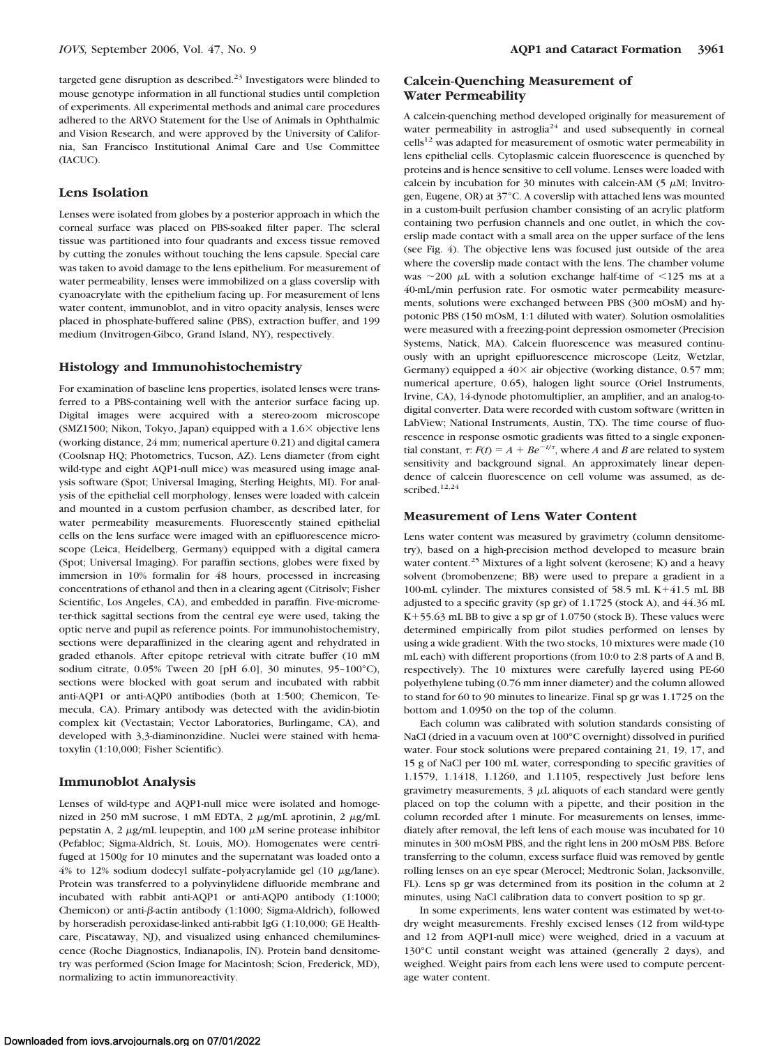targeted gene disruption as described. $23$  Investigators were blinded to mouse genotype information in all functional studies until completion of experiments. All experimental methods and animal care procedures adhered to the ARVO Statement for the Use of Animals in Ophthalmic and Vision Research, and were approved by the University of California, San Francisco Institutional Animal Care and Use Committee (IACUC).

#### **Lens Isolation**

Lenses were isolated from globes by a posterior approach in which the corneal surface was placed on PBS-soaked filter paper. The scleral tissue was partitioned into four quadrants and excess tissue removed by cutting the zonules without touching the lens capsule. Special care was taken to avoid damage to the lens epithelium. For measurement of water permeability, lenses were immobilized on a glass coverslip with cyanoacrylate with the epithelium facing up. For measurement of lens water content, immunoblot, and in vitro opacity analysis, lenses were placed in phosphate-buffered saline (PBS), extraction buffer, and 199 medium (Invitrogen-Gibco, Grand Island, NY), respectively.

#### **Histology and Immunohistochemistry**

For examination of baseline lens properties, isolated lenses were transferred to a PBS-containing well with the anterior surface facing up. Digital images were acquired with a stereo-zoom microscope (SMZ1500; Nikon, Tokyo, Japan) equipped with a  $1.6\times$  objective lens (working distance, 24 mm; numerical aperture 0.21) and digital camera (Coolsnap HQ; Photometrics, Tucson, AZ). Lens diameter (from eight wild-type and eight AQP1-null mice) was measured using image analysis software (Spot; Universal Imaging, Sterling Heights, MI). For analysis of the epithelial cell morphology, lenses were loaded with calcein and mounted in a custom perfusion chamber, as described later, for water permeability measurements. Fluorescently stained epithelial cells on the lens surface were imaged with an epifluorescence microscope (Leica, Heidelberg, Germany) equipped with a digital camera (Spot; Universal Imaging). For paraffin sections, globes were fixed by immersion in 10% formalin for 48 hours, processed in increasing concentrations of ethanol and then in a clearing agent (Citrisolv; Fisher Scientific, Los Angeles, CA), and embedded in paraffin. Five-micrometer-thick sagittal sections from the central eye were used, taking the optic nerve and pupil as reference points. For immunohistochemistry, sections were deparaffinized in the clearing agent and rehydrated in graded ethanols. After epitope retrieval with citrate buffer (10 mM sodium citrate, 0.05% Tween 20 [pH 6.0], 30 minutes, 95–100°C), sections were blocked with goat serum and incubated with rabbit anti-AQP1 or anti-AQP0 antibodies (both at 1:500; Chemicon, Temecula, CA). Primary antibody was detected with the avidin-biotin complex kit (Vectastain; Vector Laboratories, Burlingame, CA), and developed with 3,3-diaminonzidine. Nuclei were stained with hematoxylin (1:10,000; Fisher Scientific).

#### **Immunoblot Analysis**

Lenses of wild-type and AQP1-null mice were isolated and homogenized in 250 mM sucrose, 1 mM EDTA, 2  $\mu$ g/mL aprotinin, 2  $\mu$ g/mL pepstatin A, 2  $\mu$ g/mL leupeptin, and 100  $\mu$ M serine protease inhibitor (Pefabloc; Sigma-Aldrich, St. Louis, MO). Homogenates were centrifuged at 1500*g* for 10 minutes and the supernatant was loaded onto a  $4\%$  to 12% sodium dodecyl sulfate-polyacrylamide gel (10  $\mu$ g/lane). Protein was transferred to a polyvinylidene difluoride membrane and incubated with rabbit anti-AQP1 or anti-AQP0 antibody (1:1000; Chemicon) or anti- $\beta$ -actin antibody (1:1000; Sigma-Aldrich), followed by horseradish peroxidase-linked anti-rabbit IgG (1:10,000; GE Healthcare, Piscataway, NJ), and visualized using enhanced chemiluminescence (Roche Diagnostics, Indianapolis, IN). Protein band densitometry was performed (Scion Image for Macintosh; Scion, Frederick, MD), normalizing to actin immunoreactivity.

## **Calcein-Quenching Measurement of Water Permeability**

A calcein-quenching method developed originally for measurement of water permeability in astroglia<sup>24</sup> and used subsequently in corneal  $\text{cells}^{12}$  was adapted for measurement of osmotic water permeability in lens epithelial cells. Cytoplasmic calcein fluorescence is quenched by proteins and is hence sensitive to cell volume. Lenses were loaded with calcein by incubation for 30 minutes with calcein-AM (5  $\mu$ M; Invitrogen, Eugene, OR) at 37°C. A coverslip with attached lens was mounted in a custom-built perfusion chamber consisting of an acrylic platform containing two perfusion channels and one outlet, in which the coverslip made contact with a small area on the upper surface of the lens (see Fig. 4). The objective lens was focused just outside of the area where the coverslip made contact with the lens. The chamber volume was  $\sim$ 200  $\mu$ L with a solution exchange half-time of  $\le$ 125 ms at a 40-mL/min perfusion rate. For osmotic water permeability measurements, solutions were exchanged between PBS (300 mOsM) and hypotonic PBS (150 mOsM, 1:1 diluted with water). Solution osmolalities were measured with a freezing-point depression osmometer (Precision Systems, Natick, MA). Calcein fluorescence was measured continuously with an upright epifluorescence microscope (Leitz, Wetzlar, Germany) equipped a  $40\times$  air objective (working distance, 0.57 mm; numerical aperture, 0.65), halogen light source (Oriel Instruments, Irvine, CA), 14-dynode photomultiplier, an amplifier, and an analog-todigital converter. Data were recorded with custom software (written in LabView; National Instruments, Austin, TX). The time course of fluorescence in response osmotic gradients was fitted to a single exponential constant,  $\tau$ :  $F(t) = A + Be^{-t/\tau}$ , where *A* and *B* are related to system sensitivity and background signal. An approximately linear dependence of calcein fluorescence on cell volume was assumed, as described.<sup>12,24</sup>

#### **Measurement of Lens Water Content**

Lens water content was measured by gravimetry (column densitometry), based on a high-precision method developed to measure brain water content.<sup>25</sup> Mixtures of a light solvent (kerosene; K) and a heavy solvent (bromobenzene; BB) were used to prepare a gradient in a 100-mL cylinder. The mixtures consisted of 58.5 mL K+41.5 mL BB adjusted to a specific gravity (sp gr) of 1.1725 (stock A), and 44.36 mL  $K+55.63$  mL BB to give a sp gr of  $1.0750$  (stock B). These values were determined empirically from pilot studies performed on lenses by using a wide gradient. With the two stocks, 10 mixtures were made (10 mL each) with different proportions (from 10:0 to 2:8 parts of A and B, respectively). The 10 mixtures were carefully layered using PE-60 polyethylene tubing (0.76 mm inner diameter) and the column allowed to stand for 60 to 90 minutes to linearize. Final sp gr was 1.1725 on the bottom and 1.0950 on the top of the column.

Each column was calibrated with solution standards consisting of NaCl (dried in a vacuum oven at 100°C overnight) dissolved in purified water. Four stock solutions were prepared containing 21, 19, 17, and 15 g of NaCl per 100 mL water, corresponding to specific gravities of 1.1579, 1.1418, 1.1260, and 1.1105, respectively Just before lens gravimetry measurements,  $3 \mu$ L aliquots of each standard were gently placed on top the column with a pipette, and their position in the column recorded after 1 minute. For measurements on lenses, immediately after removal, the left lens of each mouse was incubated for 10 minutes in 300 mOsM PBS, and the right lens in 200 mOsM PBS. Before transferring to the column, excess surface fluid was removed by gentle rolling lenses on an eye spear (Merocel; Medtronic Solan, Jacksonville, FL). Lens sp gr was determined from its position in the column at 2 minutes, using NaCl calibration data to convert position to sp gr.

In some experiments, lens water content was estimated by wet-todry weight measurements. Freshly excised lenses (12 from wild-type and 12 from AQP1-null mice) were weighed, dried in a vacuum at 130°C until constant weight was attained (generally 2 days), and weighed. Weight pairs from each lens were used to compute percentage water content.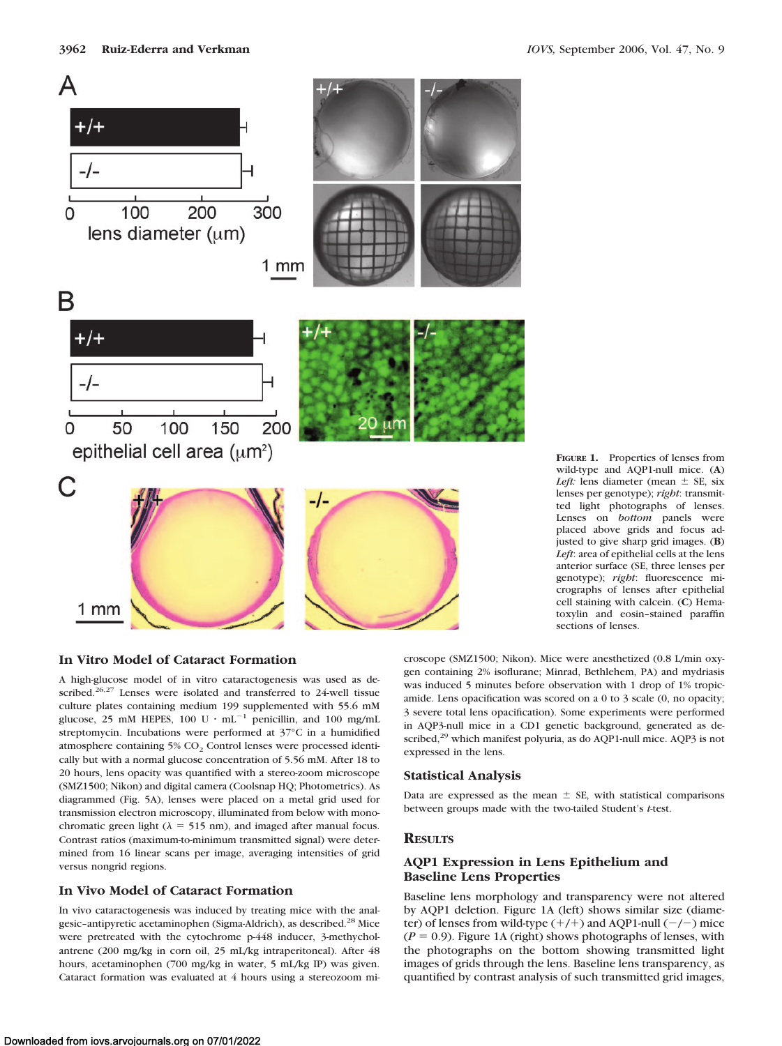

### **In Vitro Model of Cataract Formation**

A high-glucose model of in vitro cataractogenesis was used as described.<sup>26,27</sup> Lenses were isolated and transferred to 24-well tissue culture plates containing medium 199 supplemented with 55.6 mM glucose, 25 mM HEPES, 100 U  $\cdot$  mL<sup>-1</sup> penicillin, and 100 mg/mL streptomycin. Incubations were performed at 37°C in a humidified atmosphere containing 5% CO<sub>2</sub> Control lenses were processed identically but with a normal glucose concentration of 5.56 mM. After 18 to 20 hours, lens opacity was quantified with a stereo-zoom microscope (SMZ1500; Nikon) and digital camera (Coolsnap HQ; Photometrics). As diagrammed (Fig. 5A), lenses were placed on a metal grid used for transmission electron microscopy, illuminated from below with monochromatic green light ( $\lambda = 515$  nm), and imaged after manual focus. Contrast ratios (maximum-to-minimum transmitted signal) were determined from 16 linear scans per image, averaging intensities of grid versus nongrid regions.

#### **In Vivo Model of Cataract Formation**

In vivo cataractogenesis was induced by treating mice with the analgesic-antipyretic acetaminophen (Sigma-Aldrich), as described.<sup>28</sup> Mice were pretreated with the cytochrome p-448 inducer, 3-methycholantrene (200 mg/kg in corn oil, 25 mL/kg intraperitoneal). After 48 hours, acetaminophen (700 mg/kg in water, 5 mL/kg IP) was given. Cataract formation was evaluated at 4 hours using a stereozoom mi**FIGURE 1.** Properties of lenses from wild-type and AQP1-null mice. (**A**) *Left:* lens diameter (mean  $\pm$  SE, six lenses per genotype); *right*: transmitted light photographs of lenses. Lenses on *bottom* panels were placed above grids and focus adjusted to give sharp grid images. (**B**) *Left*: area of epithelial cells at the lens anterior surface (SE, three lenses per genotype); *right*: fluorescence micrographs of lenses after epithelial cell staining with calcein. (**C**) Hematoxylin and eosin–stained paraffin sections of lenses.

croscope (SMZ1500; Nikon). Mice were anesthetized (0.8 L/min oxygen containing 2% isoflurane; Minrad, Bethlehem, PA) and mydriasis was induced 5 minutes before observation with 1 drop of 1% tropicamide. Lens opacification was scored on a 0 to 3 scale (0, no opacity; 3 severe total lens opacification). Some experiments were performed in AQP3-null mice in a CD1 genetic background, generated as described,<sup>29</sup> which manifest polyuria, as do AQP1-null mice. AQP3 is not expressed in the lens.

#### **Statistical Analysis**

Data are expressed as the mean  $\pm$  SE, with statistical comparisons between groups made with the two-tailed Student's *t*-test.

#### **RESULTS**

### **AQP1 Expression in Lens Epithelium and Baseline Lens Properties**

Baseline lens morphology and transparency were not altered by AQP1 deletion. Figure 1A (left) shows similar size (diameter) of lenses from wild-type  $(+/+)$  and AQP1-null  $(-/-)$  mice  $(P = 0.9)$ . Figure 1A (right) shows photographs of lenses, with the photographs on the bottom showing transmitted light images of grids through the lens. Baseline lens transparency, as quantified by contrast analysis of such transmitted grid images,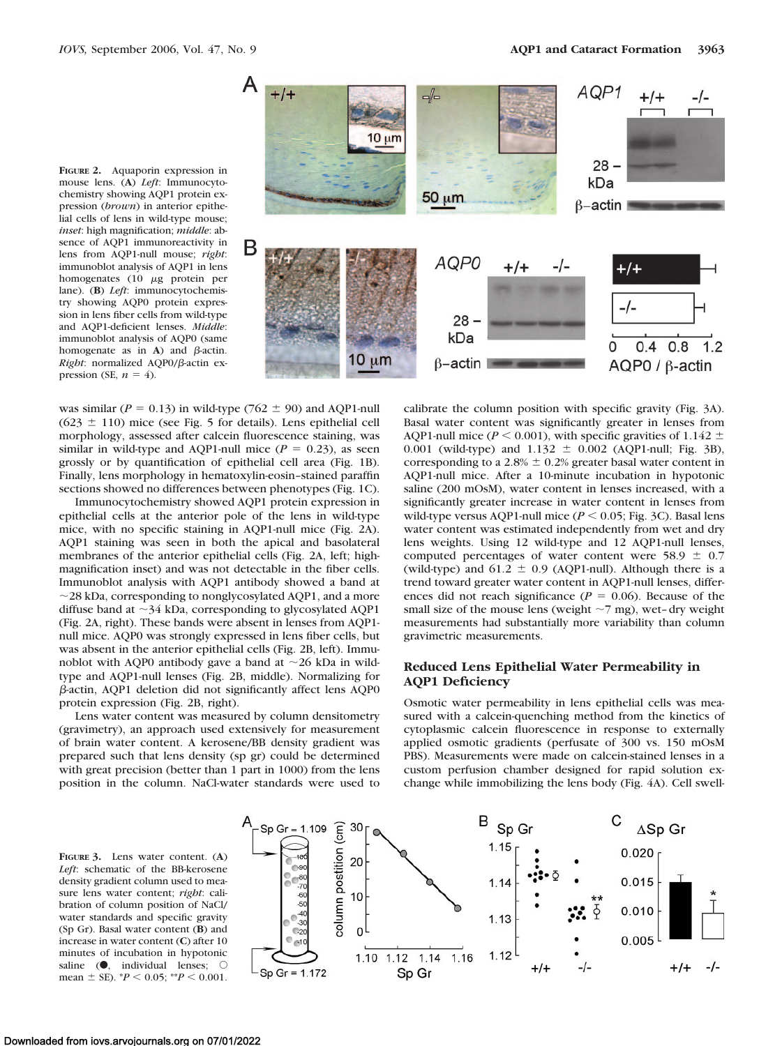**FIGURE 2.** Aquaporin expression in mouse lens. (**A**) *Left*: Immunocytochemistry showing AQP1 protein expression (*brown*) in anterior epithelial cells of lens in wild-type mouse; *inset*: high magnification; *middle*: absence of AQP1 immunoreactivity in lens from AQP1-null mouse; *right*: immunoblot analysis of AQP1 in lens homogenates  $(10 \mu g)$  protein per lane). (**B**) *Left*: immunocytochemistry showing AQP0 protein expression in lens fiber cells from wild-type and AQP1-deficient lenses. *Middle*: immunoblot analysis of AQP0 (same homogenate as in  $A$ ) and  $\beta$ -actin. Right: normalized AQP0/ß-actin expression (SE,  $n = 4$ ).



was similar ( $P = 0.13$ ) in wild-type (762  $\pm$  90) and AQP1-null  $(623 \pm 110)$  mice (see Fig. 5 for details). Lens epithelial cell morphology, assessed after calcein fluorescence staining, was similar in wild-type and AQP1-null mice  $(P = 0.23)$ , as seen grossly or by quantification of epithelial cell area (Fig. 1B). Finally, lens morphology in hematoxylin-eosin–stained paraffin sections showed no differences between phenotypes (Fig. 1C).

Immunocytochemistry showed AQP1 protein expression in epithelial cells at the anterior pole of the lens in wild-type mice, with no specific staining in AQP1-null mice (Fig. 2A). AQP1 staining was seen in both the apical and basolateral membranes of the anterior epithelial cells (Fig. 2A, left; highmagnification inset) and was not detectable in the fiber cells. Immunoblot analysis with AQP1 antibody showed a band at  $\sim$ 28 kDa, corresponding to nonglycosylated AQP1, and a more diffuse band at  $\sim$ 34 kDa, corresponding to glycosylated AQP1 (Fig. 2A, right). These bands were absent in lenses from AQP1 null mice. AQP0 was strongly expressed in lens fiber cells, but was absent in the anterior epithelial cells (Fig. 2B, left). Immunoblot with AQP0 antibody gave a band at  $\sim$ 26 kDa in wildtype and AQP1-null lenses (Fig. 2B, middle). Normalizing for  $\beta$ -actin, AQP1 deletion did not significantly affect lens AQP0 protein expression (Fig. 2B, right).

Lens water content was measured by column densitometry (gravimetry), an approach used extensively for measurement of brain water content. A kerosene/BB density gradient was prepared such that lens density (sp gr) could be determined with great precision (better than 1 part in 1000) from the lens position in the column. NaCl-water standards were used to

calibrate the column position with specific gravity (Fig. 3A). Basal water content was significantly greater in lenses from AQP1-null mice ( $P \le 0.001$ ), with specific gravities of 1.142  $\pm$ 0.001 (wild-type) and  $1.132 \pm 0.002$  (AQP1-null; Fig. 3B), corresponding to a 2.8%  $\pm$  0.2% greater basal water content in AQP1-null mice. After a 10-minute incubation in hypotonic saline (200 mOsM), water content in lenses increased, with a significantly greater increase in water content in lenses from wild-type versus AQP1-null mice  $(P \le 0.05$ ; Fig. 3C). Basal lens water content was estimated independently from wet and dry lens weights. Using 12 wild-type and 12 AQP1-null lenses, computed percentages of water content were 58.9  $\pm$  0.7 (wild-type) and  $61.2 \pm 0.9$  (AQP1-null). Although there is a trend toward greater water content in AQP1-null lenses, differences did not reach significance ( $P = 0.06$ ). Because of the small size of the mouse lens (weight  $\sim$  7 mg), wet– dry weight measurements had substantially more variability than column gravimetric measurements.

### **Reduced Lens Epithelial Water Permeability in AQP1 Deficiency**

Osmotic water permeability in lens epithelial cells was measured with a calcein-quenching method from the kinetics of cytoplasmic calcein fluorescence in response to externally applied osmotic gradients (perfusate of 300 vs. 150 mOsM PBS). Measurements were made on calcein-stained lenses in a custom perfusion chamber designed for rapid solution exchange while immobilizing the lens body (Fig. 4A). Cell swell-

**FIGURE 3.** Lens water content. (**A**) *Left*: schematic of the BB-kerosene density gradient column used to measure lens water content; *right*: calibration of column position of NaCl/ water standards and specific gravity (Sp Gr). Basal water content (**B**) and increase in water content (**C**) after 10 minutes of incubation in hypotonic saline  $\left( \bullet \right)$ , individual lenses;  $\circ$ mean  $\pm$  SE).  $^{*}P$  < 0.05;  $^{**}P$  < 0.001.

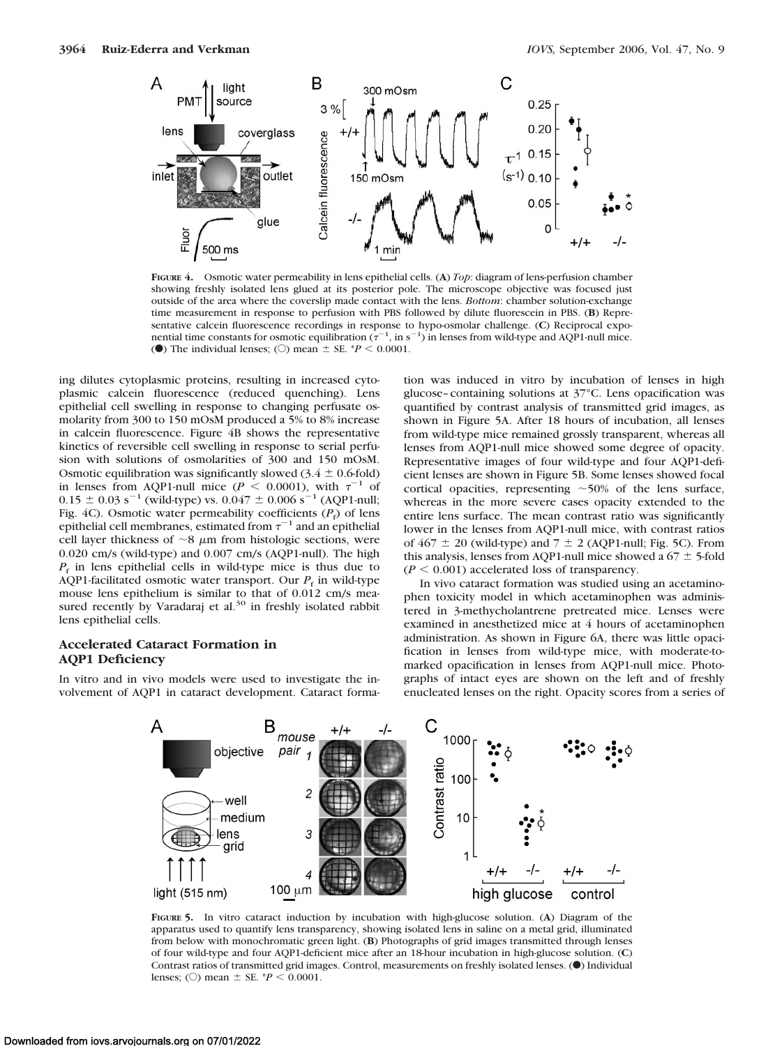

**FIGURE 4.** Osmotic water permeability in lens epithelial cells. (**A**) *Top*: diagram of lens-perfusion chamber showing freshly isolated lens glued at its posterior pole. The microscope objective was focused just outside of the area where the coverslip made contact with the lens. *Bottom*: chamber solution-exchange time measurement in response to perfusion with PBS followed by dilute fluorescein in PBS. (**B**) Representative calcein fluorescence recordings in response to hypo-osmolar challenge. (**C**) Reciprocal exponential time constants for osmotic equilibration  $(\tau^{-1}$ , in s<sup>-1</sup>) in lenses from wild-type and AQP1-null mice. (O) The individual lenses; (O) mean  $\pm$  SE.  $*P < 0.0001$ .

ing dilutes cytoplasmic proteins, resulting in increased cytoplasmic calcein fluorescence (reduced quenching). Lens epithelial cell swelling in response to changing perfusate osmolarity from 300 to 150 mOsM produced a 5% to 8% increase in calcein fluorescence. Figure 4B shows the representative kinetics of reversible cell swelling in response to serial perfusion with solutions of osmolarities of 300 and 150 mOsM. Osmotic equilibration was significantly slowed  $(3.4 \pm 0.6 \text{ fold})$ in lenses from AQP1-null mice ( $P < 0.0001$ ), with  $\tau^{-1}$  of  $0.15 \pm 0.03$  s<sup>-1</sup> (wild-type) vs.  $0.047 \pm 0.006$  s<sup>-1</sup> (AQP1-null; Fig. 4C). Osmotic water permeability coefficients  $(P_f)$  of lens epithelial cell membranes, estimated from  $\tau^{-1}$  and an epithelial cell layer thickness of  $\sim$ 8  $\mu$ m from histologic sections, were 0.020 cm/s (wild-type) and 0.007 cm/s (AQP1-null). The high  $P_f$  in lens epithelial cells in wild-type mice is thus due to AQP1-facilitated osmotic water transport. Our  $P_f$  in wild-type mouse lens epithelium is similar to that of 0.012 cm/s measured recently by Varadaraj et al. $30$  in freshly isolated rabbit lens epithelial cells.

#### **Accelerated Cataract Formation in AQP1 Deficiency**

In vitro and in vivo models were used to investigate the involvement of AQP1 in cataract development. Cataract formation was induced in vitro by incubation of lenses in high glucose–containing solutions at 37°C. Lens opacification was quantified by contrast analysis of transmitted grid images, as shown in Figure 5A. After 18 hours of incubation, all lenses from wild-type mice remained grossly transparent, whereas all lenses from AQP1-null mice showed some degree of opacity. Representative images of four wild-type and four AQP1-deficient lenses are shown in Figure 5B. Some lenses showed focal cortical opacities, representing  $~50\%$  of the lens surface, whereas in the more severe cases opacity extended to the entire lens surface. The mean contrast ratio was significantly lower in the lenses from AQP1-null mice, with contrast ratios of  $467 \pm 20$  (wild-type) and  $7 \pm 2$  (AQP1-null; Fig. 5C). From this analysis, lenses from AQP1-null mice showed a  $67 \pm 5$ -fold  $(P < 0.001)$  accelerated loss of transparency.

In vivo cataract formation was studied using an acetaminophen toxicity model in which acetaminophen was administered in 3-methycholantrene pretreated mice. Lenses were examined in anesthetized mice at 4 hours of acetaminophen administration. As shown in Figure 6A, there was little opacification in lenses from wild-type mice, with moderate-tomarked opacification in lenses from AQP1-null mice. Photographs of intact eyes are shown on the left and of freshly enucleated lenses on the right. Opacity scores from a series of



**FIGURE 5.** In vitro cataract induction by incubation with high-glucose solution. (**A**) Diagram of the apparatus used to quantify lens transparency, showing isolated lens in saline on a metal grid, illuminated from below with monochromatic green light. (**B**) Photographs of grid images transmitted through lenses of four wild-type and four AQP1-deficient mice after an 18-hour incubation in high-glucose solution. (**C**) Contrast ratios of transmitted grid images. Control, measurements on freshly isolated lenses. (C) Individual lenses; ( $\circ$ ) mean  $\pm$  SE. \**P* < 0.0001.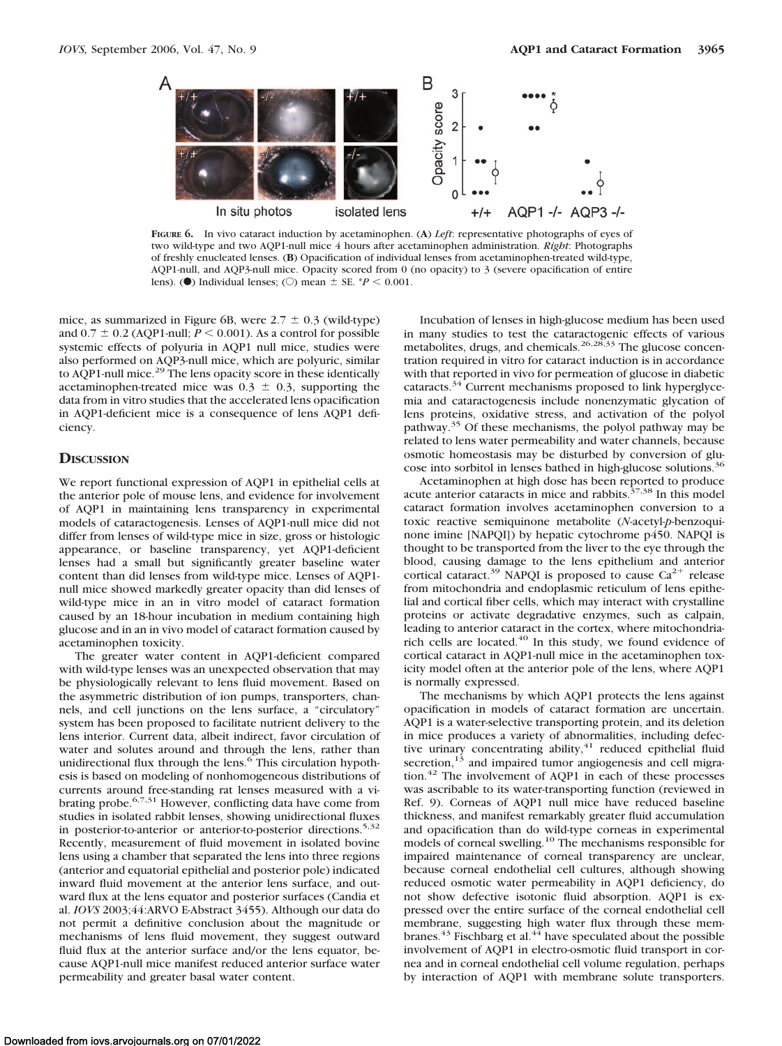

**FIGURE 6.** In vivo cataract induction by acetaminophen. (**A**) *Left*: representative photographs of eyes of two wild-type and two AQP1-null mice 4 hours after acetaminophen administration. *Right*: Photographs of freshly enucleated lenses. (**B**) Opacification of individual lenses from acetaminophen-treated wild-type, AQP1-null, and AQP3-null mice. Opacity scored from 0 (no opacity) to 3 (severe opacification of entire lens). ( $\bullet$ ) Individual lenses; ( $\circ$ ) mean  $\pm$  SE.  $*P < 0.001$ .

mice, as summarized in Figure 6B, were  $2.7 \pm 0.3$  (wild-type) and  $0.7 \pm 0.2$  (AQP1-null;  $P \le 0.001$ ). As a control for possible systemic effects of polyuria in AQP1 null mice, studies were also performed on AQP3-null mice, which are polyuric, similar to AQP1-null mice.<sup>29</sup> The lens opacity score in these identically acetaminophen-treated mice was  $0.3 \pm 0.3$ , supporting the data from in vitro studies that the accelerated lens opacification in AQP1-deficient mice is a consequence of lens AQP1 deficiency.

#### **DISCUSSION**

We report functional expression of AQP1 in epithelial cells at the anterior pole of mouse lens, and evidence for involvement of AQP1 in maintaining lens transparency in experimental models of cataractogenesis. Lenses of AQP1-null mice did not differ from lenses of wild-type mice in size, gross or histologic appearance, or baseline transparency, yet AQP1-deficient lenses had a small but significantly greater baseline water content than did lenses from wild-type mice. Lenses of AQP1 null mice showed markedly greater opacity than did lenses of wild-type mice in an in vitro model of cataract formation caused by an 18-hour incubation in medium containing high glucose and in an in vivo model of cataract formation caused by acetaminophen toxicity.

The greater water content in AQP1-deficient compared with wild-type lenses was an unexpected observation that may be physiologically relevant to lens fluid movement. Based on the asymmetric distribution of ion pumps, transporters, channels, and cell junctions on the lens surface, a "circulatory" system has been proposed to facilitate nutrient delivery to the lens interior. Current data, albeit indirect, favor circulation of water and solutes around and through the lens, rather than unidirectional flux through the lens.<sup>6</sup> This circulation hypothesis is based on modeling of nonhomogeneous distributions of currents around free-standing rat lenses measured with a vibrating probe.6,7,31 However, conflicting data have come from studies in isolated rabbit lenses, showing unidirectional fluxes in posterior-to-anterior or anterior-to-posterior directions.<sup>5,32</sup> Recently, measurement of fluid movement in isolated bovine lens using a chamber that separated the lens into three regions (anterior and equatorial epithelial and posterior pole) indicated inward fluid movement at the anterior lens surface, and outward flux at the lens equator and posterior surfaces (Candia et al. *IOVS* 2003;44:ARVO E-Abstract 3455). Although our data do not permit a definitive conclusion about the magnitude or mechanisms of lens fluid movement, they suggest outward fluid flux at the anterior surface and/or the lens equator, because AQP1-null mice manifest reduced anterior surface water permeability and greater basal water content.

Incubation of lenses in high-glucose medium has been used in many studies to test the cataractogenic effects of various metabolites, drugs, and chemicals.<sup>26,28,33</sup> The glucose concentration required in vitro for cataract induction is in accordance with that reported in vivo for permeation of glucose in diabetic cataracts.<sup>34</sup> Current mechanisms proposed to link hyperglycemia and cataractogenesis include nonenzymatic glycation of lens proteins, oxidative stress, and activation of the polyol pathway.35 Of these mechanisms, the polyol pathway may be related to lens water permeability and water channels, because osmotic homeostasis may be disturbed by conversion of glucose into sorbitol in lenses bathed in high-glucose solutions.<sup>36</sup>

Acetaminophen at high dose has been reported to produce acute anterior cataracts in mice and rabbits.<sup>37,38</sup> In this model cataract formation involves acetaminophen conversion to a toxic reactive semiquinone metabolite (*N*-acetyl-*p*-benzoquinone imine [NAPQI]) by hepatic cytochrome p450. NAPQI is thought to be transported from the liver to the eye through the blood, causing damage to the lens epithelium and anterior cortical cataract.<sup>39</sup> NAPQI is proposed to cause  $Ca^{2+}$  release from mitochondria and endoplasmic reticulum of lens epithelial and cortical fiber cells, which may interact with crystalline proteins or activate degradative enzymes, such as calpain, leading to anterior cataract in the cortex, where mitochondriarich cells are located. $40$  In this study, we found evidence of cortical cataract in AQP1-null mice in the acetaminophen toxicity model often at the anterior pole of the lens, where AQP1 is normally expressed.

The mechanisms by which AQP1 protects the lens against opacification in models of cataract formation are uncertain. AQP1 is a water-selective transporting protein, and its deletion in mice produces a variety of abnormalities, including defective urinary concentrating ability, $41$  reduced epithelial fluid secretion, $13$  and impaired tumor angiogenesis and cell migration.<sup>42</sup> The involvement of AQP1 in each of these processes was ascribable to its water-transporting function (reviewed in Ref. 9). Corneas of AQP1 null mice have reduced baseline thickness, and manifest remarkably greater fluid accumulation and opacification than do wild-type corneas in experimental models of corneal swelling.10 The mechanisms responsible for impaired maintenance of corneal transparency are unclear, because corneal endothelial cell cultures, although showing reduced osmotic water permeability in AQP1 deficiency, do not show defective isotonic fluid absorption. AQP1 is expressed over the entire surface of the corneal endothelial cell membrane, suggesting high water flux through these membranes.<sup>43</sup> Fischbarg et al.<sup>44</sup> have speculated about the possible involvement of AQP1 in electro-osmotic fluid transport in cornea and in corneal endothelial cell volume regulation, perhaps by interaction of AQP1 with membrane solute transporters.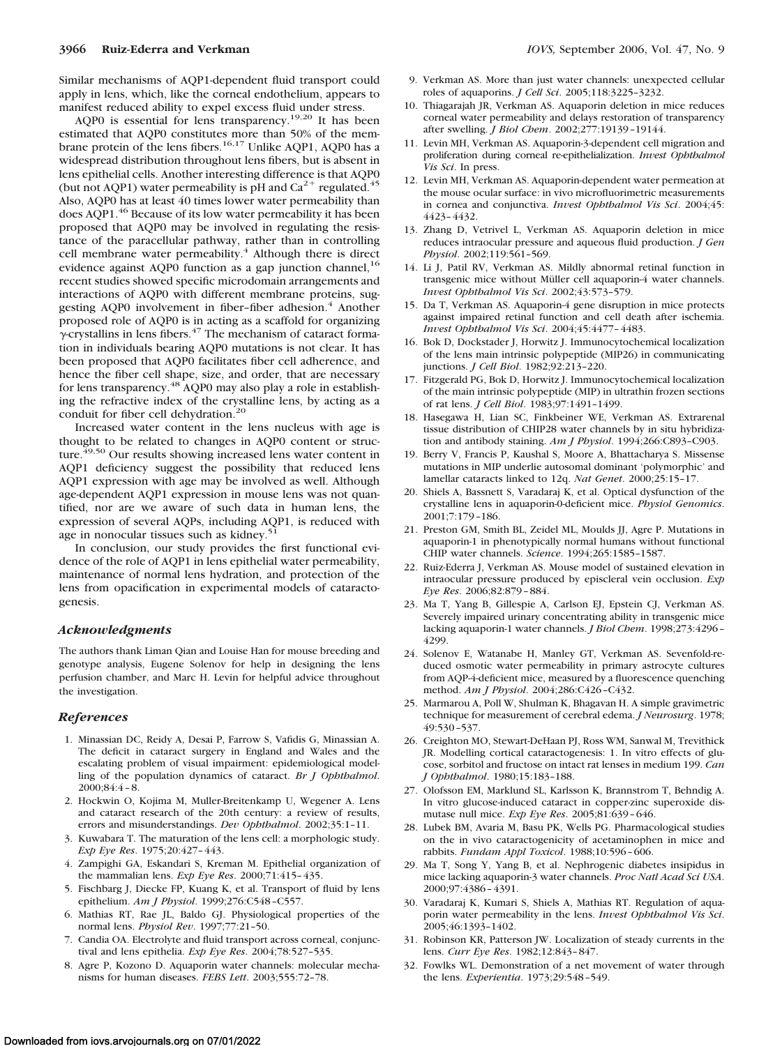Similar mechanisms of AQP1-dependent fluid transport could apply in lens, which, like the corneal endothelium, appears to manifest reduced ability to expel excess fluid under stress.

AQP0 is essential for lens transparency.<sup>19,20</sup> It has been estimated that AQP0 constitutes more than 50% of the membrane protein of the lens fibers.<sup>16,17</sup> Unlike AQP1, AQP0 has a widespread distribution throughout lens fibers, but is absent in lens epithelial cells. Another interesting difference is that AQP0 (but not AQP1) water permeability is pH and  $Ca^{2+}$  regulated.<sup>45</sup> Also, AQP0 has at least 40 times lower water permeability than does AQP1.<sup>46</sup> Because of its low water permeability it has been proposed that AQP0 may be involved in regulating the resistance of the paracellular pathway, rather than in controlling cell membrane water permeability.<sup>4</sup> Although there is direct evidence against AQP0 function as a gap junction channel,  $^{16}$ recent studies showed specific microdomain arrangements and interactions of AQP0 with different membrane proteins, suggesting AQP0 involvement in fiber-fiber adhesion.<sup>4</sup> Another proposed role of AQP0 is in acting as a scaffold for organizing  $\gamma$ -crystallins in lens fibers.<sup>47</sup> The mechanism of cataract formation in individuals bearing AQP0 mutations is not clear. It has been proposed that AQP0 facilitates fiber cell adherence, and hence the fiber cell shape, size, and order, that are necessary for lens transparency.48 AQP0 may also play a role in establishing the refractive index of the crystalline lens, by acting as a conduit for fiber cell dehydration.<sup>20</sup>

Increased water content in the lens nucleus with age is thought to be related to changes in AQP0 content or structure.<sup>49,50</sup> Our results showing increased lens water content in AQP1 deficiency suggest the possibility that reduced lens AQP1 expression with age may be involved as well. Although age-dependent AQP1 expression in mouse lens was not quantified, nor are we aware of such data in human lens, the expression of several AQPs, including AQP1, is reduced with age in nonocular tissues such as kidney. $51$ 

In conclusion, our study provides the first functional evidence of the role of AQP1 in lens epithelial water permeability, maintenance of normal lens hydration, and protection of the lens from opacification in experimental models of cataractogenesis.

#### *Acknowledgments*

The authors thank Liman Qian and Louise Han for mouse breeding and genotype analysis, Eugene Solenov for help in designing the lens perfusion chamber, and Marc H. Levin for helpful advice throughout the investigation.

#### *References*

- 1. Minassian DC, Reidy A, Desai P, Farrow S, Vafidis G, Minassian A. The deficit in cataract surgery in England and Wales and the escalating problem of visual impairment: epidemiological modelling of the population dynamics of cataract. *Br J Ophthalmol*. 2000;84:4 – 8.
- 2. Hockwin O, Kojima M, Muller-Breitenkamp U, Wegener A. Lens and cataract research of the 20th century: a review of results, errors and misunderstandings. *Dev Ophthalmol*. 2002;35:1–11.
- 3. Kuwabara T. The maturation of the lens cell: a morphologic study. *Exp Eye Res*. 1975;20:427– 443.
- 4. Zampighi GA, Eskandari S, Kreman M. Epithelial organization of the mammalian lens. *Exp Eye Res*. 2000;71:415– 435.
- 5. Fischbarg J, Diecke FP, Kuang K, et al. Transport of fluid by lens epithelium. *Am J Physiol*. 1999;276:C548 –C557.
- 6. Mathias RT, Rae JL, Baldo GJ. Physiological properties of the normal lens. *Physiol Rev*. 1997;77:21–50.
- 7. Candia OA. Electrolyte and fluid transport across corneal, conjunctival and lens epithelia. *Exp Eye Res*. 2004;78:527–535.
- 8. Agre P, Kozono D. Aquaporin water channels: molecular mechanisms for human diseases. *FEBS Lett*. 2003;555:72–78.
- 9. Verkman AS. More than just water channels: unexpected cellular roles of aquaporins. *J Cell Sci*. 2005;118:3225–3232.
- 10. Thiagarajah JR, Verkman AS. Aquaporin deletion in mice reduces corneal water permeability and delays restoration of transparency after swelling. *J Biol Chem*. 2002;277:19139 –19144.
- 11. Levin MH, Verkman AS. Aquaporin-3-dependent cell migration and proliferation during corneal re-epithelialization. *Invest Ophthalmol Vis Sci*. In press.
- 12. Levin MH, Verkman AS. Aquaporin-dependent water permeation at the mouse ocular surface: in vivo microfluorimetric measurements in cornea and conjunctiva. *Invest Ophthalmol Vis Sci*. 2004;45: 4423– 4432.
- 13. Zhang D, Vetrivel L, Verkman AS. Aquaporin deletion in mice reduces intraocular pressure and aqueous fluid production. *J Gen Physiol*. 2002;119:561–569.
- 14. Li J, Patil RV, Verkman AS. Mildly abnormal retinal function in transgenic mice without Müller cell aquaporin-4 water channels. *Invest Ophthalmol Vis Sci*. 2002;43:573–579.
- 15. Da T, Verkman AS. Aquaporin-4 gene disruption in mice protects against impaired retinal function and cell death after ischemia. *Invest Ophthalmol Vis Sci*. 2004;45:4477– 4483.
- 16. Bok D, Dockstader J, Horwitz J. Immunocytochemical localization of the lens main intrinsic polypeptide (MIP26) in communicating junctions. *J Cell Biol*. 1982;92:213–220.
- 17. Fitzgerald PG, Bok D, Horwitz J. Immunocytochemical localization of the main intrinsic polypeptide (MIP) in ultrathin frozen sections of rat lens. *J Cell Biol*. 1983;97:1491–1499.
- 18. Hasegawa H, Lian SC, Finkbeiner WE, Verkman AS. Extrarenal tissue distribution of CHIP28 water channels by in situ hybridization and antibody staining. *Am J Physiol*. 1994;266:C893–C903.
- 19. Berry V, Francis P, Kaushal S, Moore A, Bhattacharya S. Missense mutations in MIP underlie autosomal dominant 'polymorphic' and lamellar cataracts linked to 12q. *Nat Genet*. 2000;25:15–17.
- 20. Shiels A, Bassnett S, Varadaraj K, et al. Optical dysfunction of the crystalline lens in aquaporin-0-deficient mice. *Physiol Genomics*. 2001;7:179 –186.
- 21. Preston GM, Smith BL, Zeidel ML, Moulds JJ, Agre P. Mutations in aquaporin-1 in phenotypically normal humans without functional CHIP water channels. *Science*. 1994;265:1585–1587.
- 22. Ruiz-Ederra J, Verkman AS. Mouse model of sustained elevation in intraocular pressure produced by episcleral vein occlusion. *Exp Eye Res*. 2006;82:879 – 884.
- 23. Ma T, Yang B, Gillespie A, Carlson EJ, Epstein CJ, Verkman AS. Severely impaired urinary concentrating ability in transgenic mice lacking aquaporin-1 water channels. *J Biol Chem*. 1998;273:4296 – 4299.
- 24. Solenov E, Watanabe H, Manley GT, Verkman AS. Sevenfold-reduced osmotic water permeability in primary astrocyte cultures from AQP-4-deficient mice, measured by a fluorescence quenching method. *Am J Physiol*. 2004;286:C426 –C432.
- 25. Marmarou A, Poll W, Shulman K, Bhagavan H. A simple gravimetric technique for measurement of cerebral edema. *J Neurosurg*. 1978; 49:530 –537.
- 26. Creighton MO, Stewart-DeHaan PJ, Ross WM, Sanwal M, Trevithick JR. Modelling cortical cataractogenesis: 1. In vitro effects of glucose, sorbitol and fructose on intact rat lenses in medium 199. *Can J Ophthalmol*. 1980;15:183–188.
- 27. Olofsson EM, Marklund SL, Karlsson K, Brannstrom T, Behndig A. In vitro glucose-induced cataract in copper-zinc superoxide dismutase null mice. *Exp Eye Res*. 2005;81:639 – 646.
- 28. Lubek BM, Avaria M, Basu PK, Wells PG. Pharmacological studies on the in vivo cataractogenicity of acetaminophen in mice and rabbits. *Fundam Appl Toxicol*. 1988;10:596 – 606.
- 29. Ma T, Song Y, Yang B, et al. Nephrogenic diabetes insipidus in mice lacking aquaporin-3 water channels. *Proc Natl Acad Sci USA*. 2000;97:4386 – 4391.
- 30. Varadaraj K, Kumari S, Shiels A, Mathias RT. Regulation of aquaporin water permeability in the lens. *Invest Ophthalmol Vis Sci*. 2005;46:1393–1402.
- 31. Robinson KR, Patterson JW. Localization of steady currents in the lens. *Curr Eye Res*. 1982;12:843– 847.
- 32. Fowlks WL. Demonstration of a net movement of water through the lens. *Experientia*. 1973;29:548 –549.